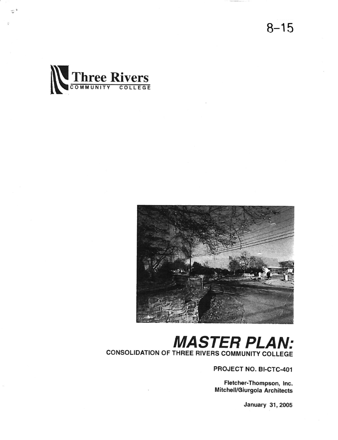$8 - 15$ 





### MASTER PLAN: CONSOLIDATION OF THREE RIVERS COMMUNITY COLLEGE

PROJECT NO. BI-CTC-401

Fletcher-Thompson, lnc. Mitchell/Giurgola Architects

January 31, 2005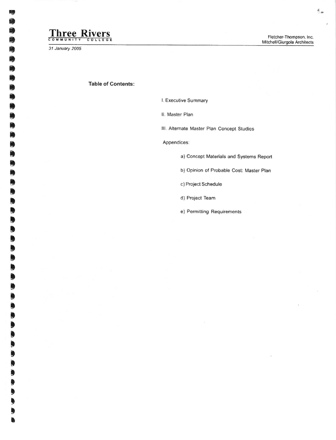## Three Rivers

31 January 2005

### Table of Contents:

l. Executive Summary

ll. Master Plan

III. Alternate Master Plan Concept Studies

Appendices:

a) Concept Materials and Systems Reporl

b) Opinion of Probable Cost: Master Plan

c) Project Schedule

d) Project Team

e) Permilting Requirements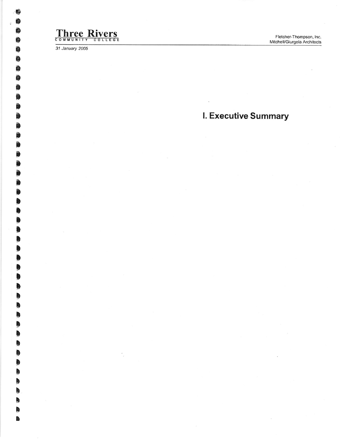# Three Rivers

31 January 2005

I. Executive Summary